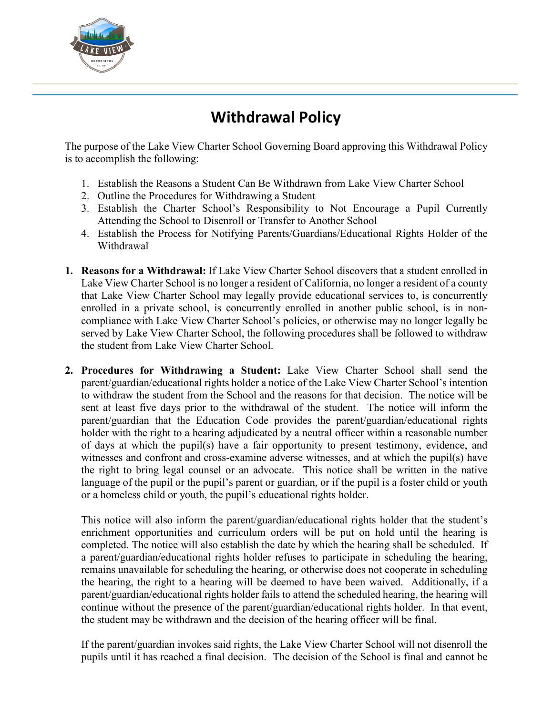

## **Withdrawal Policy**

The purpose of the Lake View Charter School Governing Board approving this Withdrawal Policy is to accomplish the following:

- 1. Establish the Reasons a Student Can Be Withdrawn from Lake View Charter School
- 2. Outline the Procedures for Withdrawing a Student
- 3. Establish the Charter School's Responsibility to Not Encourage a Pupil Currently Attending the School to Disenroll or Transfer to Another School
- 4. Establish the Process for Notifying Parents/Guardians/Educational Rights Holder of the Withdrawal
- **1. Reasons for a Withdrawal:** If Lake View Charter School discovers that a student enrolled in Lake View Charter School is no longer a resident of California, no longer a resident of a county that Lake View Charter School may legally provide educational services to, is concurrently enrolled in a private school, is concurrently enrolled in another public school, is in noncompliance with Lake View Charter School's policies, or otherwise may no longer legally be served by Lake View Charter School, the following procedures shall be followed to withdraw the student from Lake View Charter School.
- **2. Procedures for Withdrawing a Student:** Lake View Charter School shall send the parent/guardian/educational rights holder a notice of the Lake View Charter School's intention to withdraw the student from the School and the reasons for that decision. The notice will be sent at least five days prior to the withdrawal of the student. The notice will inform the parent/guardian that the Education Code provides the parent/guardian/educational rights holder with the right to a hearing adjudicated by a neutral officer within a reasonable number of days at which the pupil(s) have a fair opportunity to present testimony, evidence, and witnesses and confront and cross-examine adverse witnesses, and at which the pupil(s) have the right to bring legal counsel or an advocate. This notice shall be written in the native language of the pupil or the pupil's parent or guardian, or if the pupil is a foster child or youth or a homeless child or youth, the pupil's educational rights holder.

This notice will also inform the parent/guardian/educational rights holder that the student's enrichment opportunities and curriculum orders will be put on hold until the hearing is completed. The notice will also establish the date by which the hearing shall be scheduled. If a parent/guardian/educational rights holder refuses to participate in scheduling the hearing, remains unavailable for scheduling the hearing, or otherwise does not cooperate in scheduling the hearing, the right to a hearing will be deemed to have been waived. Additionally, if a parent/guardian/educational rights holder fails to attend the scheduled hearing, the hearing will continue without the presence of the parent/guardian/educational rights holder. In that event, the student may be withdrawn and the decision of the hearing officer will be final.

If the parent/guardian invokes said rights, the Lake View Charter School will not disenroll the pupils until it has reached a final decision. The decision of the School is final and cannot be